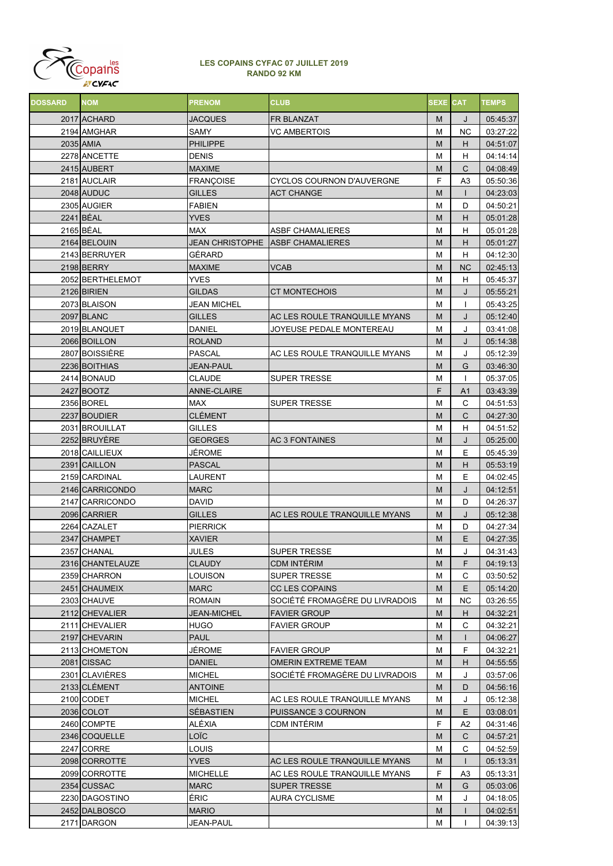

| <b>DOSSARD</b> | <b>NOM</b>       | <b>PRENOM</b>          | <b>CLUB</b>                    | <b>SEXE CAT</b> |              | <b>TEMPS</b> |
|----------------|------------------|------------------------|--------------------------------|-----------------|--------------|--------------|
|                | 2017 ACHARD      | <b>JACQUES</b>         | FR BLANZAT                     | M               | J            | 05:45:37     |
|                | 2194 AMGHAR      | SAMY                   | VC AMBERTOIS                   | М               | NC           | 03:27:22     |
|                | 2035 AMIA        | <b>PHILIPPE</b>        |                                | M               | H            | 04:51:07     |
|                | 2278 ANCETTE     | <b>DENIS</b>           |                                | M               | н            | 04:14:14     |
|                | 2415 AUBERT      | <b>MAXIME</b>          |                                | M               | C            | 04:08:49     |
|                | 2181 AUCLAIR     | <b>FRANÇOISE</b>       | CYCLOS COURNON D'AUVERGNE      | F               | A3           | 05:50:36     |
|                | 2048 AUDUC       | <b>GILLES</b>          | <b>ACT CHANGE</b>              | M               | $\mathsf{I}$ | 04:23:03     |
|                | 2305 AUGIER      | <b>FABIEN</b>          |                                | M               | D            | 04:50:21     |
|                | 2241 BÉAL        | <b>YVES</b>            |                                | M               | н            | 05:01:28     |
|                | 2165 BÉAL        | <b>MAX</b>             | <b>ASBF CHAMALIERES</b>        | М               | н            | 05:01:28     |
|                | 2164 BELOUIN     | <b>JEAN CHRISTOPHE</b> | <b>ASBF CHAMALIERES</b>        | M               | н            | 05:01:27     |
|                | 2143 BERRUYER    | GÉRARD                 |                                | M               | н            | 04:12:30     |
|                | 2198 BERRY       | <b>MAXIME</b>          | <b>VCAB</b>                    | M               | <b>NC</b>    | 02:45:13     |
|                | 2052 BERTHELEMOT | <b>YVES</b>            |                                | M               | н            | 05:45:37     |
|                | 2126 BIRIEN      | <b>GILDAS</b>          | <b>CT MONTECHOIS</b>           | M               | J            | 05:55:21     |
|                | 2073 BLAISON     | JEAN MICHEL            |                                | M               | $\mathbf{I}$ | 05:43:25     |
|                | 2097 BLANC       | <b>GILLES</b>          | AC LES ROULE TRANQUILLE MYANS  | M               | J            | 05:12:40     |
|                | 2019 BLANQUET    | DANIEL                 | JOYEUSE PEDALE MONTEREAU       | М               | J            | 03:41:08     |
|                | 2066 BOILLON     | <b>ROLAND</b>          |                                | M               | J            | 05:14:38     |
|                | 2807 BOISSIÈRE   | PASCAL                 | AC LES ROULE TRANQUILLE MYANS  | М               | J            | 05:12:39     |
|                | 2236 BOITHIAS    | <b>JEAN-PAUL</b>       |                                | M               | G            | 03:46:30     |
|                | 2414 BONAUD      | <b>CLAUDE</b>          | <b>SUPER TRESSE</b>            | M               | T            | 05:37:05     |
|                | 2427 BOOTZ       | ANNE-CLAIRE            |                                | F               | A1           | 03:43:39     |
|                | 2356 BOREL       | <b>MAX</b>             | <b>SUPER TRESSE</b>            | М               | С            | 04:51:53     |
|                | 2237 BOUDIER     | <b>CLÉMENT</b>         |                                | M               | С            | 04:27:30     |
|                | 2031 BROUILLAT   | <b>GILLES</b>          |                                | М               | н            | 04:51:52     |
|                | 2252 BRUYERE     | <b>GEORGES</b>         | <b>AC 3 FONTAINES</b>          | M               | J            | 05:25:00     |
|                | 2018 CAILLIEUX   | JÉROME                 |                                | М               | Е            | 05:45:39     |
|                | 2391 CAILLON     | <b>PASCAL</b>          |                                | M               | н            | 05:53:19     |
|                | 2159 CARDINAL    | LAURENT                |                                | М               | Е            | 04:02:45     |
|                | 2146 CARRICONDO  | <b>MARC</b>            |                                | M               | J            | 04:12:51     |
|                | 2147 CARRICONDO  | DAVID                  |                                | М               | D            | 04:26:37     |
|                | 2096 CARRIER     | <b>GILLES</b>          | AC LES ROULE TRANQUILLE MYANS  | M               | J            | 05:12:38     |
|                | 2264 CAZALET     | <b>PIERRICK</b>        |                                | М               | D            | 04:27:34     |
|                | 2347 CHAMPET     | <b>XAVIER</b>          |                                | M               | Е            | 04:27:35     |
|                | 2357 CHANAL      | <b>JULES</b>           | <b>SUPER TRESSE</b>            | M               | J            | 04:31:43     |
|                | 2316 CHANTELAUZE | <b>CLAUDY</b>          | <b>CDM INTÉRIM</b>             | M               | F.           | 04:19:13     |
|                | 2359 CHARRON     | LOUISON                | <b>SUPER TRESSE</b>            | М               | С            | 03:50:52     |
|                | 2451 CHAUMEIX    | <b>MARC</b>            | <b>CC LES COPAINS</b>          | M               | E.           | 05:14:20     |
|                | 2303 CHAUVE      | <b>ROMAIN</b>          | SOCIÉTÉ FROMAGÈRE DU LIVRADOIS | М               | ΝC           | 03:26:55     |
|                | 2112 CHEVALIER   | <b>JEAN-MICHEL</b>     | <b>FAVIER GROUP</b>            | M               | H            | 04:32:21     |
|                | 2111 CHEVALIER   | <b>HUGO</b>            | FAVIER GROUP                   | М               | С            | 04:32:21     |
|                | 2197 CHEVARIN    | <b>PAUL</b>            |                                | M               | $\mathsf{I}$ | 04:06:27     |
|                | 2113 CHOMETON    | JÉROME                 | <b>FAVIER GROUP</b>            | М               | F            | 04:32:21     |
|                | 2081 CISSAC      | <b>DANIEL</b>          | OMERIN EXTREME TEAM            | M               | H            | 04:55:55     |
|                | 2301 CLAVIÈRES   | <b>MICHEL</b>          | SOCIÉTÉ FROMAGÈRE DU LIVRADOIS | М               | J            | 03:57:06     |
|                | 2133 CLÉMENT     | <b>ANTOINE</b>         |                                | M               | D            | 04:56:16     |
|                | 2100 CODET       | <b>MICHEL</b>          | AC LES ROULE TRANQUILLE MYANS  | М               | J            | 05:12:38     |
|                | 2036 COLOT       | <b>SÉBASTIEN</b>       | PUISSANCE 3 COURNON            | M               | E.           | 03:08:01     |
|                | 2460 COMPTE      | ALÉXIA                 | CDM INTÉRIM                    | F               | A2           | 04:31:46     |
|                | 2346 COQUELLE    | LOÏC                   |                                | M               | С            | 04:57:21     |
|                | 2247 CORRE       | LOUIS                  |                                | М               | С            | 04:52:59     |
|                | 2098 CORROTTE    | <b>YVES</b>            | AC LES ROULE TRANQUILLE MYANS  | M               | $\mathsf{I}$ | 05:13:31     |
|                | 2099 CORROTTE    | <b>MICHELLE</b>        | AC LES ROULE TRANQUILLE MYANS  | F               | A3           | 05:13:31     |
|                | 2354 CUSSAC      | <b>MARC</b>            | <b>SUPER TRESSE</b>            | M               | G            | 05:03:06     |
|                | 2230 DAGOSTINO   | ÉRIC                   | AURA CYCLISME                  | М               | J            | 04:18:05     |
|                | 2452 DALBOSCO    | <b>MARIO</b>           |                                | M               | $\mathsf{I}$ | 04:02:51     |
|                | 2171 DARGON      | JEAN-PAUL              |                                | М               | T            | 04:39:13     |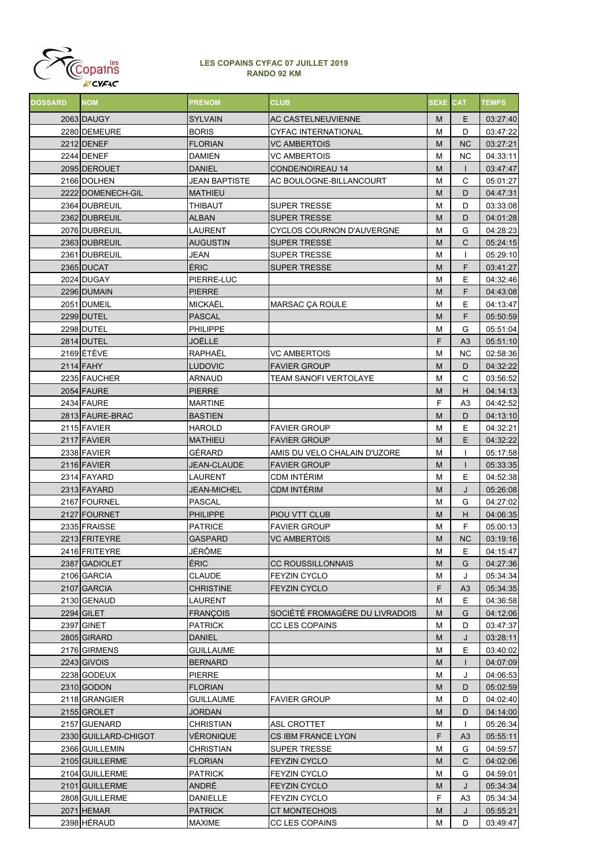

| <b>DOSSARD</b> | <b>NOM</b>           | <b>PRENOM</b>   | <b>CLUB</b>                    | <b>SEXE CAT</b> |                | <b>TEMPS</b> |
|----------------|----------------------|-----------------|--------------------------------|-----------------|----------------|--------------|
|                | 2063 DAUGY           | <b>SYLVAIN</b>  | AC CASTELNEUVIENNE             | M               | E.             | 03:27:40     |
|                | 2280 DEMEURE         | <b>BORIS</b>    | CYFAC INTERNATIONAL            | M               | D              | 03:47:22     |
|                | 2212 DENEF           | <b>FLORIAN</b>  | VC AMBERTOIS                   | M               | <b>NC</b>      | 03:27:21     |
|                | 2244 DENEF           | DAMIEN          | VC AMBERTOIS                   | M               | NC             | 04:33:11     |
|                | 2095 DEROUET         | <b>DANIEL</b>   | <b>CONDE/NOIREAU 14</b>        | M               | $\mathsf{I}$   | 03:47:47     |
|                | 2166 DOLHEN          | JEAN BAPTISTE   | AC BOULOGNE-BILLANCOURT        | M               | С              | 05:01:27     |
|                | 2222 DOMENECH-GIL    | MATHIEU         |                                | M               | D              | 04:47:31     |
|                | 2364 DUBREUIL        | THIBAUT         | SUPER TRESSE                   | M               | D              | 03:33:08     |
|                | 2362 DUBREUIL        | ALBAN           | <b>SUPER TRESSE</b>            | M               | D              | 04:01:28     |
|                | 2076 DUBREUIL        | LAURENT         | CYCLOS COURNON D'AUVERGNE      | M               | G              | 04:28:23     |
|                | 2363 DUBREUIL        | AUGUSTIN        | <b>SUPER TRESSE</b>            | M               | C              | 05:24:15     |
|                | 2361 DUBREUIL        | JEAN            | <b>SUPER TRESSE</b>            | M               | $\mathbf{I}$   | 05:29:10     |
|                | 2365 DUCAT           | ÉRIC            | <b>SUPER TRESSE</b>            | M               | F              | 03:41:27     |
|                | 2024 DUGAY           | PIERRE-LUC      |                                | M               | Е              | 04:32:46     |
|                | 2296 DUMAIN          | <b>PIERRE</b>   |                                | M               | F              | 04:43:08     |
|                | 2051 DUMEIL          | MICKAEL         | <b>MARSAC ÇA ROULE</b>         | M               | Е              | 04:13:47     |
|                | 2299 DUTEL           | <b>PASCAL</b>   |                                | M               | F              | 05:50:59     |
|                | 2298 DUTEL           | PHILIPPE        |                                | M               | G              | 05:51:04     |
|                | 2814 DUTEL           | JOËLLE          |                                | F               | A <sub>3</sub> | 05:51:10     |
|                | 2169 ETEVE           | RAPHAËL         | VC AMBERTOIS                   | M               | NC             | 02:58:36     |
|                | $2114$ FAHY          | LUDOVIC         | <b>FAVIER GROUP</b>            | M               | D              | 04:32:22     |
|                | 2235 FAUCHER         | ARNAUD          | TEAM SANOFI VERTOLAYE          | M               | С              | 03:56:52     |
|                | 2054 FAURE           | PIERRE          |                                | M               | H              | 04:14:13     |
|                | 2434 FAURE           | <b>MARTINE</b>  |                                | F               | A3             | 04:42:52     |
|                | 2813 FAURE-BRAC      | <b>BASTIEN</b>  |                                | M               | D              | 04:13:10     |
|                | 2115 FAVIER          | HAROLD          | <b>FAVIER GROUP</b>            | M               | Е              | 04:32:21     |
|                | 2117 FAVIER          | MATHIEU         | <b>FAVIER GROUP</b>            | M               | E.             | 04:32:22     |
|                | 2338 FAVIER          | GÉRARD          | AMIS DU VELO CHALAIN D'UZORE   | M               | $\mathbf{I}$   | 05:17:58     |
|                | 2116 FAVIER          | JEAN-CLAUDE     | <b>FAVIER GROUP</b>            | M               | $\mathsf{I}$   | 05:33:35     |
|                | 2314 FAYARD          | LAURENT         | CDM INTÉRIM                    | M               | Е              | 04:52:38     |
|                | 2313 FAYARD          | JEAN-MICHEL     | <b>CDM INTERIM</b>             | M               | J              | 05:26:08     |
|                | 2167 FOURNEL         | PASCAL          |                                | M               | G              | 04:27:02     |
|                | 2127 FOURNET         | <b>PHILIPPE</b> | PIOU VTT CLUB                  | M               | H              | 04:06:35     |
|                | 2335 FRAISSE         | <b>PATRICE</b>  | <b>FAVIER GROUP</b>            | M               | F              | 05:00:13     |
|                | 2213 FRITEYRE        | GASPARD         | VC AMBERTOIS                   | M               | <b>NC</b>      | 03:19:16     |
|                | 2416 FRITEYRE        | JÉRÔME          |                                | M               | Е              | 04:15:47     |
|                | 2387 GADIOLET        | ÉRIC            | <b>CC ROUSSILLONNAIS</b>       | M               | G              | 04:27:36     |
|                | 2106 GARCIA          | CLAUDE          | FEYZIN CYCLO                   | М               | J              | 05:34:34     |
|                | 2107 GARCIA          | CHRISTINE       | FEYZIN CYCLO                   | F               | A <sub>3</sub> | 05:34:35     |
|                | 2130 GENAUD          | LAURENT         |                                | M               | Е              | 04:36:58     |
|                | 2294 GILET           | <b>FRANCOIS</b> | SOCIÉTÉ FROMAGÈRE DU LIVRADOIS | M               | G              | 04:12:06     |
|                | 2397 GINET           | PATRICK         | CC LES COPAINS                 | M               | D              | 03:47:37     |
|                | 2805 GIRARD          | DANIEL          |                                | M               | J              | 03:28:11     |
|                | 2176 GIRMENS         | GUILLAUME       |                                | M               | Е              | 03:40:02     |
|                | 2243 GIVOIS          | <b>BERNARD</b>  |                                | M               | $\mathsf{I}$   | 04:07:09     |
|                | 2238 GODEUX          | PIERRE          |                                | М               | J              | 04:06:53     |
|                | 2310 GODON           | <b>FLORIAN</b>  |                                | M               | D              | 05:02:59     |
|                | 2118 GRANGIER        | GUILLAUME       | FAVIER GROUP                   | M               | D              | 04:02:40     |
|                | 2155 GROLET          | JORDAN          |                                | M               | D              | 04:14:00     |
|                | 2157 GUENARD         | CHRISTIAN       | ASL CROTTET                    | M               | $\mathbf{I}$   | 05:26:34     |
|                | 2330 GUILLARD-CHIGOT | VÉRONIQUE       | <b>CS IBM FRANCE LYON</b>      | F               | A <sub>3</sub> | 05:55:11     |
|                | 2366 GUILLEMIN       | CHRISTIAN       | SUPER TRESSE                   | M               | G              | 04:59:57     |
|                | 2105 GUILLERME       | <b>FLORIAN</b>  | <b>FEYZIN CYCLO</b>            | M               | С              | 04:02:06     |
|                | 2104 GUILLERME       | PATRICK         | FEYZIN CYCLO                   | M               | G              | 04:59:01     |
|                | 2101 GUILLERME       | ANDRÉ           | FEYZIN CYCLO                   | M               | J              | 05:34:34     |
|                | 2808 GUILLERME       | DANIELLE        | FEYZIN CYCLO                   | F               | A3             | 05:34:34     |
|                | 2071 HEMAR           | <b>PATRICK</b>  | <b>CT MONTECHOIS</b>           | M               | J              | 05:55:21     |
|                | 2398 HÉRAUD          | MAXIME          | CC LES COPAINS                 | M               | D              | 03:49:47     |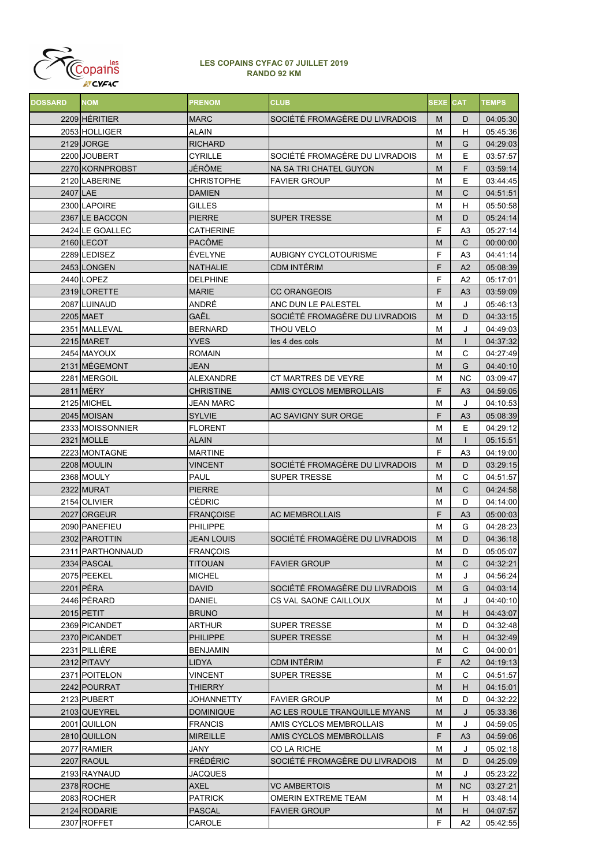

| <b>DOSSARD</b> | <b>NOM</b>       | <b>PRENOM</b>     | <b>CLUB</b>                    | <b>SEXE CAT</b> |                | <b>TEMPS</b> |
|----------------|------------------|-------------------|--------------------------------|-----------------|----------------|--------------|
|                | 2209 HÉRITIER    | <b>MARC</b>       | SOCIÉTÉ FROMAGÈRE DU LIVRADOIS | M               | D              | 04:05:30     |
|                | 2053 HOLLIGER    | ALAIN             |                                | М               | н              | 05:45:36     |
|                | 2129 JORGE       | <b>RICHARD</b>    |                                | M               | G              | 04:29:03     |
|                | 2200 JOUBERT     | <b>CYRILLE</b>    | SOCIÉTÉ FROMAGÈRE DU LIVRADOIS | M               | Е              | 03:57:57     |
|                | 2270 KORNPROBST  | JÉRÔME            | NA SA TRI CHATEL GUYON         | M               | F              | 03:59:14     |
|                | 2120 LABERINE    | <b>CHRISTOPHE</b> | <b>FAVIER GROUP</b>            | M               | Е              | 03:44:45     |
| 2407 LAE       |                  | <b>DAMIEN</b>     |                                | M               | C              | 04:51:51     |
|                | 2300 LAPOIRE     | <b>GILLES</b>     |                                | M               | н              | 05:50:58     |
|                | 2367 LE BACCON   | <b>PIERRE</b>     | <b>SUPER TRESSE</b>            | M               | D              | 05:24:14     |
|                | 2424 LE GOALLEC  | <b>CATHERINE</b>  |                                | F               | A3             | 05:27:14     |
|                | 2160 LECOT       | <b>PACÔME</b>     |                                | M               | C              | 00:00:00     |
|                | 2289 LEDISEZ     | ÉVELYNE           | AUBIGNY CYCLOTOURISME          | F               | A3             | 04:41:14     |
|                | 2453 LONGEN      | <b>NATHALIE</b>   | <b>CDM INTÉRIM</b>             | F               | A2             | 05:08:39     |
|                | 2440 LOPEZ       | <b>DELPHINE</b>   |                                | F               | A <sub>2</sub> | 05:17:01     |
|                | 2319 LORETTE     | <b>MARIE</b>      | <b>CC ORANGEOIS</b>            | F               | A <sub>3</sub> | 03:59:09     |
|                | 2087 LUINAUD     | ANDRÉ             | ANC DUN LE PALESTEL            | M               | J              | 05:46:13     |
|                | 2205 MAET        | GAËL              | SOCIÉTÉ FROMAGÈRE DU LIVRADOIS | M               | D              | 04:33:15     |
|                | 2351 MALLEVAL    | <b>BERNARD</b>    | THOU VELO                      | М               | J              | 04:49:03     |
|                | 2215 MARET       | <b>YVES</b>       | les 4 des cols                 | M               | $\mathsf{I}$   | 04:37:32     |
|                | 2454 MAYOUX      | <b>ROMAIN</b>     |                                | М               | С              | 04:27:49     |
|                | 2131 MÉGEMONT    | JEAN              |                                | M               | G              | 04:40:10     |
|                | 2281 MERGOIL     | ALEXANDRE         | CT MARTRES DE VEYRE            | M               | NC             | 03:09:47     |
|                | 2811 MÉRY        | <b>CHRISTINE</b>  | AMIS CYCLOS MEMBROLLAIS        | F               | A3             | 04:59:05     |
|                | 2125 MICHEL      | JEAN MARC         |                                | М               | J              | 04:10:53     |
|                | 2045 MOISAN      | <b>SYLVIE</b>     | AC SAVIGNY SUR ORGE            | F               | A <sub>3</sub> | 05:08:39     |
|                | 2333 MOISSONNIER | <b>FLORENT</b>    |                                | M               | Е              | 04:29:12     |
|                | 2321 MOLLE       | <b>ALAIN</b>      |                                | M               | $\mathsf{I}$   | 05:15:51     |
|                | 2223 MONTAGNE    | <b>MARTINE</b>    |                                | F               | A3             | 04:19:00     |
|                | 2208 MOULIN      | <b>VINCENT</b>    | SOCIÉTÉ FROMAGÉRE DU LIVRADOIS | M               | D              | 03:29:15     |
|                | 2368 MOULY       | PAUL              | <b>SUPER TRESSE</b>            | М               | С              | 04:51:57     |
|                | 2322 MURAT       | <b>PIERRE</b>     |                                | M               | C              | 04:24:58     |
|                | 2154 OLIVIER     | <b>CÉDRIC</b>     |                                | М               | D              | 04:14:00     |
|                | 2027 ORGEUR      | <b>FRANÇOISE</b>  | <b>AC MEMBROLLAIS</b>          | F               | A3             | 05:00:03     |
|                | 2090 PANEFIEU    | <b>PHILIPPE</b>   |                                | М               | G              | 04:28:23     |
|                | 2302 PAROTTIN    | <b>JEAN LOUIS</b> | SOCIÉTÉ FROMAGÈRE DU LIVRADOIS | M               | D              | 04:36:18     |
|                | 2311 PARTHONNAUD | <b>FRANCOIS</b>   |                                | M               | D              | 05:05:07     |
|                | 2334 PASCAL      | <b>TITOUAN</b>    | <b>FAVIER GROUP</b>            | M               | С              | 04:32:21     |
|                | 2075 PEEKEL      | <b>MICHEL</b>     |                                | м               | J              | 04:56:24     |
|                | 2201 PÉRA        | <b>DAVID</b>      | SOCIÉTÉ FROMAGÈRE DU LIVRADOIS | M               | G              | 04:03:14     |
|                | 2446 PÉRARD      | DANIEL            | CS VAL SAONE CAILLOUX          | М               | J              | 04:40:10     |
|                | 2015 PETIT       | <b>BRUNO</b>      |                                | M               | H              | 04:43:07     |
|                | 2369 PICANDET    | ARTHUR            | SUPER TRESSE                   | М               | D              | 04:32:48     |
|                | 2370 PICANDET    | <b>PHILIPPE</b>   | <b>SUPER TRESSE</b>            | M               | H              | 04:32:49     |
|                | 2231 PILLIÈRE    | <b>BENJAMIN</b>   |                                | М               | С              | 04:00:01     |
|                | 2312 PITAVY      | LIDYA             | <b>CDM INTÉRIM</b>             | F               | A2             | 04:19:13     |
|                | 2371 POITELON    | VINCENT           | SUPER TRESSE                   | М               | С              | 04:51:57     |
|                | 2242 POURRAT     | THIERRY           |                                | M               | H              | 04:15:01     |
|                | 2123 PUBERT      | JOHANNETTY        | <b>FAVIER GROUP</b>            | М               | D              | 04:32:22     |
|                | 2103 QUEYREL     | <b>DOMINIQUE</b>  | AC LES ROULE TRANQUILLE MYANS  | M               | J              | 05:33:36     |
|                | 2001 QUILLON     | <b>FRANCIS</b>    | AMIS CYCLOS MEMBROLLAIS        | М               | J              | 04:59:05     |
|                | 2810 QUILLON     | <b>MIREILLE</b>   | AMIS CYCLOS MEMBROLLAIS        | F               | A <sub>3</sub> | 04:59:06     |
|                | 2077 RAMIER      | JANY              | CO LA RICHE                    | М               | J              | 05:02:18     |
|                | 2207 RAOUL       | <b>FRÉDÉRIC</b>   | SOCIÉTÉ FROMAGÈRE DU LIVRADOIS | M               | D              | 04:25:09     |
|                | 2193 RAYNAUD     | JACQUES           |                                | м               | J              | 05:23:22     |
|                | 2378 ROCHE       | AXEL              | <b>VC AMBERTOIS</b>            | M               | <b>NC</b>      | 03:27:21     |
|                | 2083 ROCHER      | <b>PATRICK</b>    | OMERIN EXTREME TEAM            | М               | н              | 03:48:14     |
|                | 2124 RODARIE     | <b>PASCAL</b>     | <b>FAVIER GROUP</b>            | M               | H              | 04:07:57     |
|                | 2307 ROFFET      | CAROLE            |                                | F               | A2             | 05:42:55     |